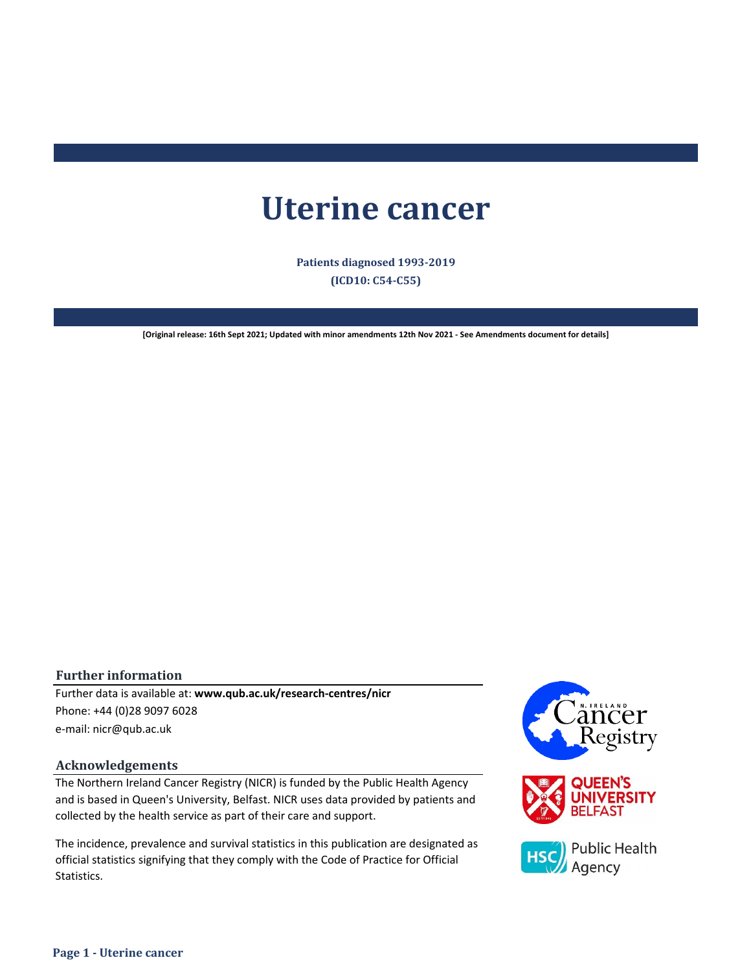# **Uterine cancer**

**(ICD10: C54-C55) Patients diagnosed 1993-2019**

**[Original release: 16th Sept 2021; Updated with minor amendments 12th Nov 2021 - See Amendments document for details]**

#### **Further information**

Further data is available at: **www.qub.ac.uk/research-centres/nicr** Phone: +44 (0)28 9097 6028 e-mail: nicr@qub.ac.uk

## **Acknowledgements**

The Northern Ireland Cancer Registry (NICR) is funded by the Public Health Agency and is based in Queen's University, Belfast. NICR uses data provided by patients and collected by the health service as part of their care and support.

The incidence, prevalence and survival statistics in this publication are designated as official statistics signifying that they comply with the Code of Practice for Official Statistics.

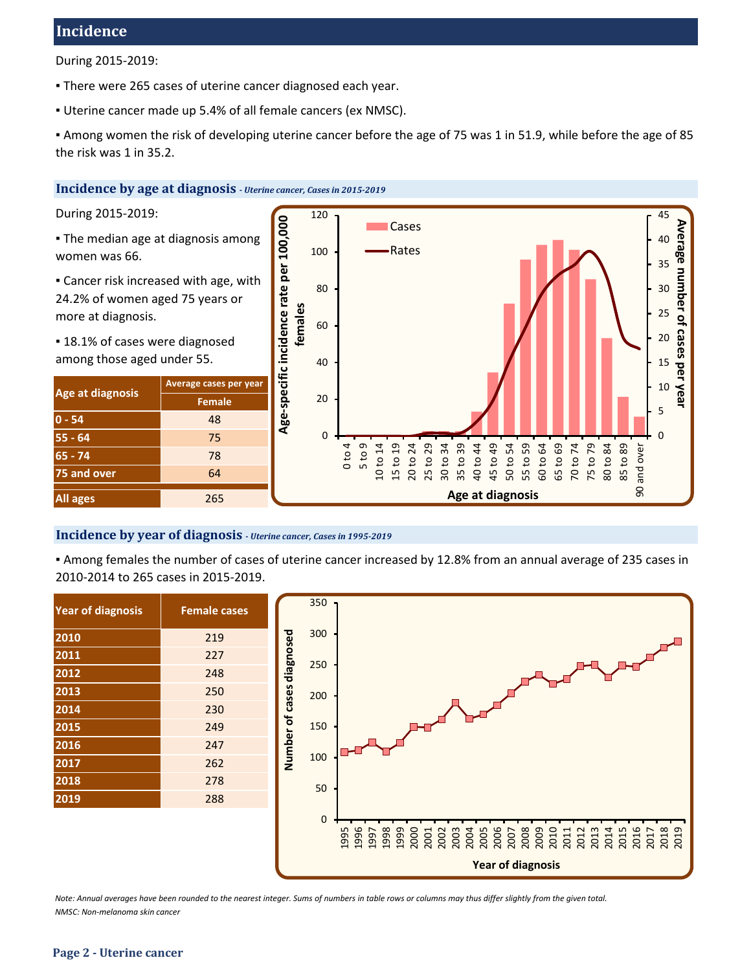# **Incidence**

During 2015-2019:

- **There were 265 cases of uterine cancer diagnosed each year.**
- Uterine cancer made up 5.4% of all female cancers (ex NMSC).

▪ Among women the risk of developing uterine cancer before the age of 75 was 1 in 51.9, while before the age of 85 the risk was 1 in 35.2.

## **Incidence by age at diagnosis** *- Uterine cancer, Cases in 2015-2019*

During 2015-2019:

• The median age at diagnosis among women was 66.

**EX Cancer risk increased with age, with** 24.2% of women aged 75 years or more at diagnosis.

**.** 18.1% of cases were diagnosed among those aged under 55.

| <b>Age at diagnosis</b> | Average cases per year |  |  |  |  |
|-------------------------|------------------------|--|--|--|--|
|                         | <b>Female</b>          |  |  |  |  |
| $0 - 54$                | 48                     |  |  |  |  |
| $55 - 64$               | 75                     |  |  |  |  |
| $65 - 74$               | 78                     |  |  |  |  |
| 75 and over             | 64                     |  |  |  |  |
| <b>All ages</b>         | 265                    |  |  |  |  |



## **Incidence by year of diagnosis** *- Uterine cancer, Cases in 1995-2019*

▪ Among females the number of cases of uterine cancer increased by 12.8% from an annual average of 235 cases in 2010-2014 to 265 cases in 2015-2019.

| <b>Year of diagnosis</b> | <b>Female cases</b> |  |  |  |  |
|--------------------------|---------------------|--|--|--|--|
| 2010                     | 219                 |  |  |  |  |
| 2011                     | 227                 |  |  |  |  |
| 2012                     | 248                 |  |  |  |  |
| 2013                     | 250                 |  |  |  |  |
| 2014                     | 230                 |  |  |  |  |
| 2015                     | 249                 |  |  |  |  |
| 2016                     | 247                 |  |  |  |  |
| 2017                     | 262                 |  |  |  |  |
| 2018                     | 278                 |  |  |  |  |
| 2019                     | 288                 |  |  |  |  |



*Note: Annual averages have been rounded to the nearest integer. Sums of numbers in table rows or columns may thus differ slightly from the given total. NMSC: Non-melanoma skin cancer*

## **Page 2 - Uterine cancer**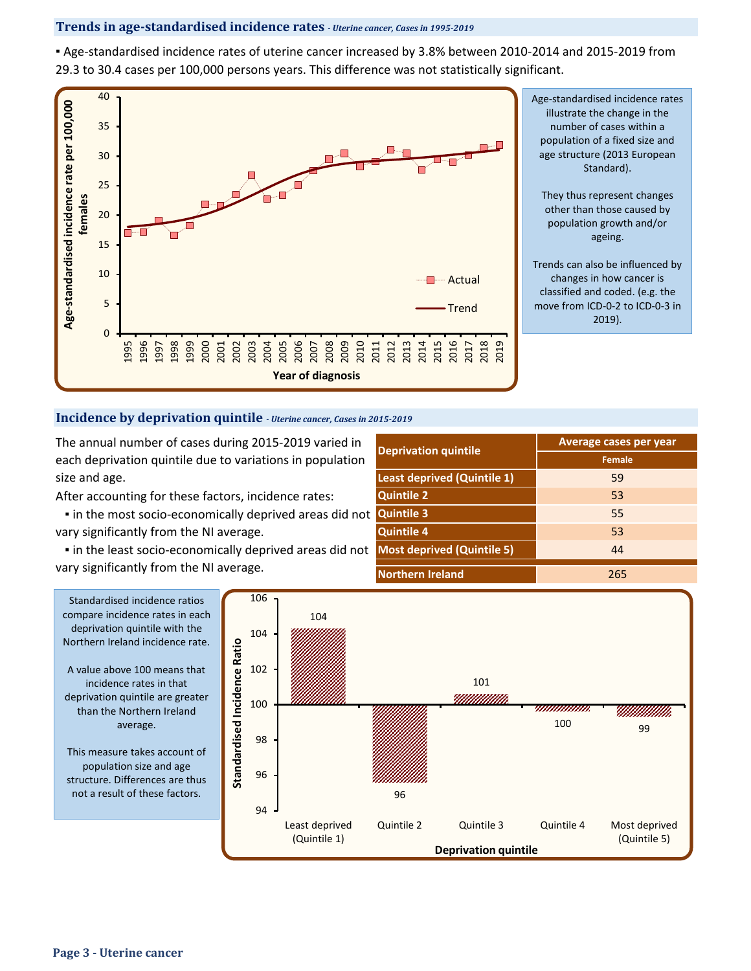## **Trends in age-standardised incidence rates** *- Uterine cancer, Cases in 1995-2019*

▪ Age-standardised incidence rates of uterine cancer increased by 3.8% between 2010-2014 and 2015-2019 from 29.3 to 30.4 cases per 100,000 persons years. This difference was not statistically significant.



Age-standardised incidence rates illustrate the change in the number of cases within a population of a fixed size and age structure (2013 European Standard).

They thus represent changes other than those caused by population growth and/or ageing.

Trends can also be influenced by changes in how cancer is classified and coded. (e.g. the move from ICD-0-2 to ICD-0-3 in 2019).

#### **Incidence by deprivation quintile** *- Uterine cancer, Cases in 2015-2019*

The annual number of cases during 2015-2019 varied in each deprivation quintile due to variations in population size and age.

After accounting for these factors, incidence rates:

. in the most socio-economically deprived areas did not vary significantly from the NI average.

 ▪ in the least socio-economically deprived areas did not vary significantly from the NI average.

| <b>Deprivation quintile</b>        | Average cases per year |
|------------------------------------|------------------------|
|                                    | Female                 |
| <b>Least deprived (Quintile 1)</b> | 59                     |
| <b>Quintile 2</b>                  | 53                     |
| <b>Quintile 3</b>                  | 55                     |
| <b>Quintile 4</b>                  | 53                     |
| <b>Most deprived (Quintile 5)</b>  | 44                     |
| <b>Northern Ireland</b>            | 265                    |



A value above 100 means that incidence rates in that deprivation quintile are greater than the Northern Ireland average.

This measure takes account of population size and age structure. Differences are thus not a result of these factors.

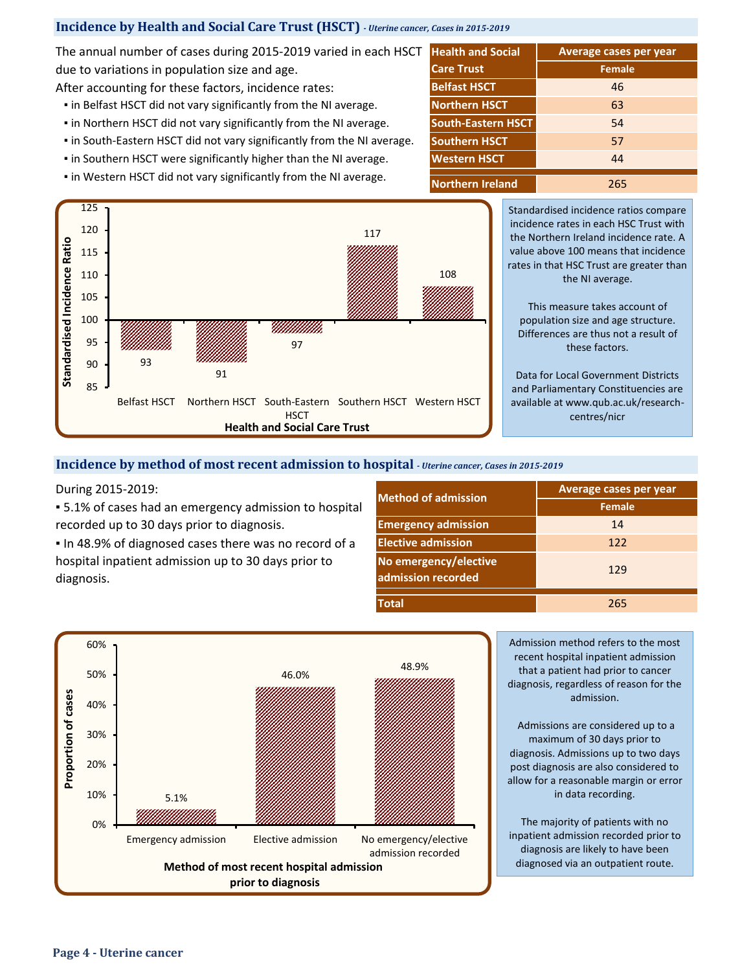## **Incidence by Health and Social Care Trust (HSCT)** *- Uterine cancer, Cases in 2015-2019*

The annual number of cases during 2015-2019 varied in each HSCT due to variations in population size and age.

After accounting for these factors, incidence rates:

- **.** in Belfast HSCT did not vary significantly from the NI average.
- **.** in Northern HSCT did not vary significantly from the NI average.
- **.** in South-Eastern HSCT did not vary significantly from the NI average.
- **.** in Southern HSCT were significantly higher than the NI average.
- **.** in Western HSCT did not vary significantly from the NI average.



**Health and Social Care Trust Average cases per year Belfast HSCT Northern Ireland Northern HSCT South-Eastern HSCT Southern HSCT Female** 265 46 63 54 57 44 **Western HSCT**

> Standardised incidence ratios compare incidence rates in each HSC Trust with the Northern Ireland incidence rate. A value above 100 means that incidence rates in that HSC Trust are greater than the NI average.

This measure takes account of population size and age structure. Differences are thus not a result of these factors.

Data for Local Government Districts and Parliamentary Constituencies are available at www.qub.ac.uk/researchcentres/nicr

## **Incidence by method of most recent admission to hospital** *- Uterine cancer, Cases in 2015-2019*

During 2015-2019:

▪ 5.1% of cases had an emergency admission to hospital recorded up to 30 days prior to diagnosis.

▪ In 48.9% of diagnosed cases there was no record of a hospital inpatient admission up to 30 days prior to diagnosis.

| <b>Method of admission</b>                  | Average cases per year |  |  |  |  |
|---------------------------------------------|------------------------|--|--|--|--|
|                                             | <b>Female</b>          |  |  |  |  |
| <b>Emergency admission</b>                  | 14                     |  |  |  |  |
| <b>Elective admission</b>                   | 122                    |  |  |  |  |
| No emergency/elective<br>admission recorded | 129                    |  |  |  |  |
| <b>Total</b>                                | 265                    |  |  |  |  |



Admission method refers to the most recent hospital inpatient admission that a patient had prior to cancer diagnosis, regardless of reason for the admission.

Admissions are considered up to a maximum of 30 days prior to diagnosis. Admissions up to two days post diagnosis are also considered to allow for a reasonable margin or error in data recording.

The majority of patients with no inpatient admission recorded prior to diagnosis are likely to have been diagnosed via an outpatient route.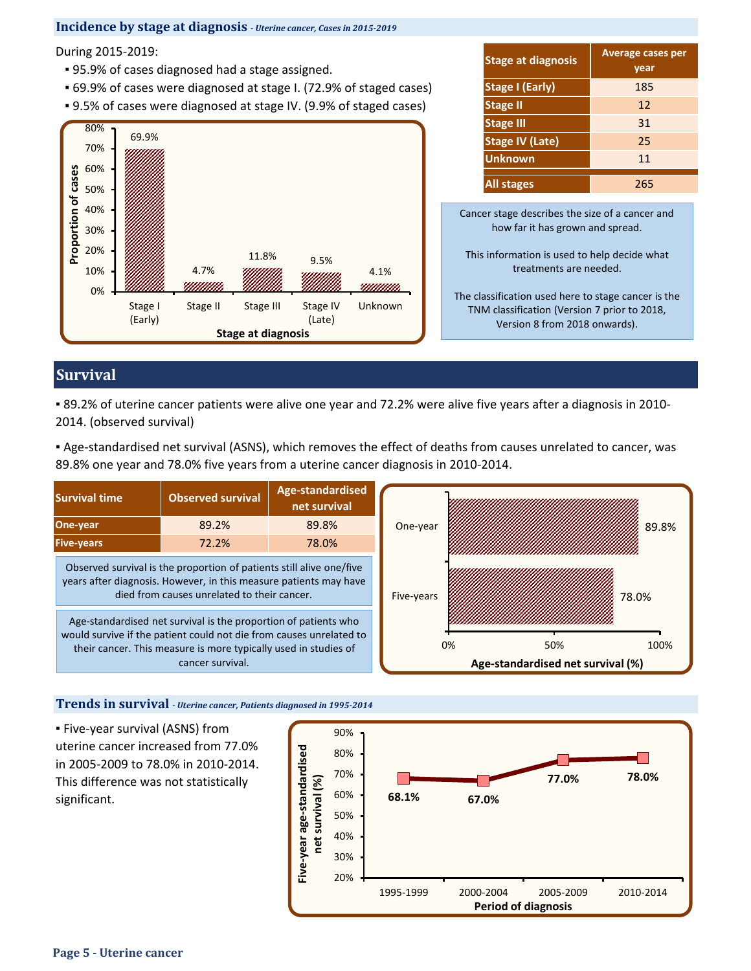## **Incidence by stage at diagnosis** *- Uterine cancer, Cases in 2015-2019*

During 2015-2019:

- 95.9% of cases diagnosed had a stage assigned.
- 69.9% of cases were diagnosed at stage I. (72.9% of staged cases)
- 9.5% of cases were diagnosed at stage IV. (9.9% of staged cases)



| <b>Stage at diagnosis</b> | Average cases per<br>year |
|---------------------------|---------------------------|
| <b>Stage I (Early)</b>    | 185                       |
| <b>Stage II</b>           | 12                        |
| <b>Stage III</b>          | 31                        |
| <b>Stage IV (Late)</b>    | 25                        |
| <b>Unknown</b>            | 11                        |
| <b>All stages</b>         | 265                       |

Cancer stage describes the size of a cancer and how far it has grown and spread.

This information is used to help decide what treatments are needed.

The classification used here to stage cancer is the TNM classification (Version 7 prior to 2018, Version 8 from 2018 onwards).

# **Survival**

▪ 89.2% of uterine cancer patients were alive one year and 72.2% were alive five years after a diagnosis in 2010- 2014. (observed survival)

▪ Age-standardised net survival (ASNS), which removes the effect of deaths from causes unrelated to cancer, was 89.8% one year and 78.0% five years from a uterine cancer diagnosis in 2010-2014.



## **Trends in survival** *- Uterine cancer, Patients diagnosed in 1995-2014*

▪ Five-year survival (ASNS) from uterine cancer increased from 77.0% in 2005-2009 to 78.0% in 2010-2014. This difference was not statistically significant.

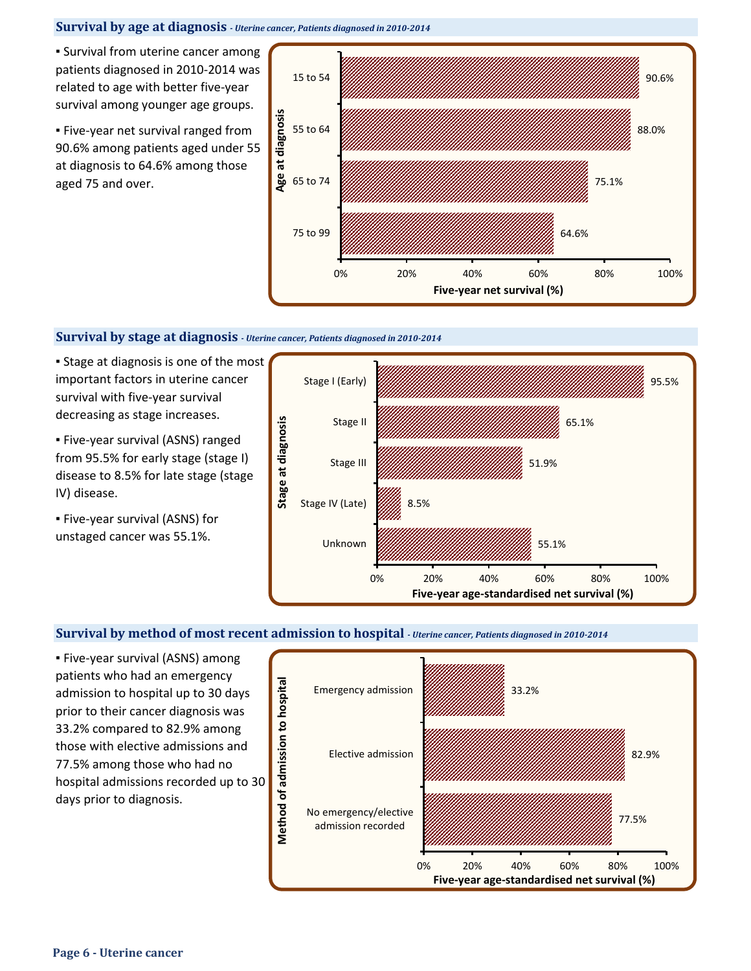## **Survival by age at diagnosis** *- Uterine cancer, Patients diagnosed in 2010-2014*

**E** Survival from uterine cancer among patients diagnosed in 2010-2014 was related to age with better five-year survival among younger age groups.

**Eive-year net survival ranged from** 90.6% among patients aged under 55 at diagnosis to 64.6% among those aged 75 and over.



## **Survival by stage at diagnosis** *- Uterine cancer, Patients diagnosed in 2010-2014*

**• Stage at diagnosis is one of the most** important factors in uterine cancer survival with five-year survival decreasing as stage increases.

▪ Five-year survival (ASNS) ranged from 95.5% for early stage (stage I) disease to 8.5% for late stage (stage IV) disease.

▪ Five-year survival (ASNS) for unstaged cancer was 55.1%.



## **Survival by method of most recent admission to hospital** *- Uterine cancer, Patients diagnosed in 2010-2014*

▪ Five-year survival (ASNS) among patients who had an emergency admission to hospital up to 30 days prior to their cancer diagnosis was 33.2% compared to 82.9% among those with elective admissions and 77.5% among those who had no hospital admissions recorded up to 30 days prior to diagnosis.

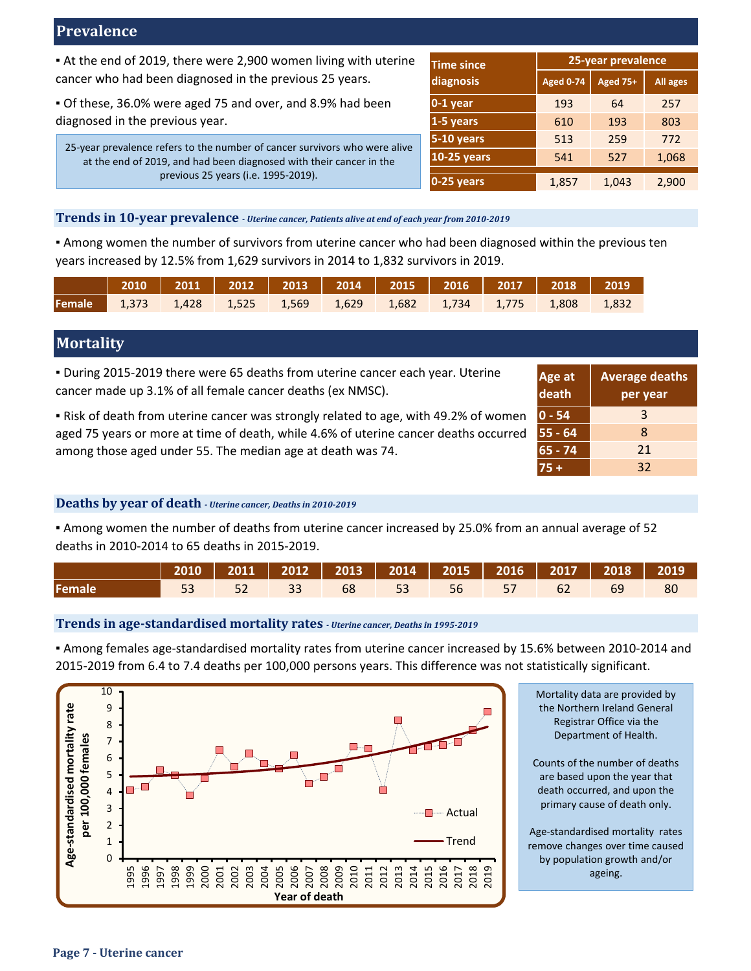## **Prevalence**

**At the end of 2019, there were 2,900 women living with uterine** cancer who had been diagnosed in the previous 25 years.

▪ Of these, 36.0% were aged 75 and over, and 8.9% had been diagnosed in the previous year.

25-year prevalence refers to the number of cancer survivors who were alive at the end of 2019, and had been diagnosed with their cancer in the previous 25 years (i.e. 1995-2019).

| <b>Time since</b>  | 25-year prevalence |                 |                 |  |  |  |
|--------------------|--------------------|-----------------|-----------------|--|--|--|
| diagnosis          | <b>Aged 0-74</b>   | <b>Aged 75+</b> | <b>All ages</b> |  |  |  |
| $0-1$ year         | 193                | 64              | 257             |  |  |  |
| 1-5 years          | 610                | 193             | 803             |  |  |  |
| $5-10$ years       | 513                | 259             | 772             |  |  |  |
| <b>10-25 years</b> | 541                | 527             | 1,068           |  |  |  |
| $0-25$ years       | 1,857              | 1,043           | 2,900           |  |  |  |

## **Trends in 10-year prevalence** *- Uterine cancer, Patients alive at end of each year from 2010-2019*

▪ Among women the number of survivors from uterine cancer who had been diagnosed within the previous ten years increased by 12.5% from 1,629 survivors in 2014 to 1,832 survivors in 2019.

| 2010   2011   2012   2013   2014   2015   2016   2017   2018   2019 <sub> </sub> |  |  |  |  |  |
|----------------------------------------------------------------------------------|--|--|--|--|--|
| <b>Female</b> 1,373 1,428 1,525 1,569 1,629 1,682 1,734 1,775 1,808 1,832        |  |  |  |  |  |

# **Mortality**

▪ During 2015-2019 there were 65 deaths from uterine cancer each year. Uterine cancer made up 3.1% of all female cancer deaths (ex NMSC).

▪ Risk of death from uterine cancer was strongly related to age, with 49.2% of women aged 75 years or more at time of death, while 4.6% of uterine cancer deaths occurred among those aged under 55. The median age at death was 74.

| Age at<br>death | <b>Average deaths</b><br>per year |
|-----------------|-----------------------------------|
| $0 - 54$        | 3                                 |
| $55 - 64$       | 8                                 |
| $65 - 74$       | 21                                |
| $75+$           | 32                                |

## **Deaths by year of death** *- Uterine cancer, Deaths in 2010-2019*

▪ Among women the number of deaths from uterine cancer increased by 25.0% from an annual average of 52 deaths in 2010-2014 to 65 deaths in 2015-2019.

|        | 2010   2011   2012   2013   2014   2015   2016   2017   2018   2019 <sup> </sup>                                     |       |    |                   |  |       |      |
|--------|----------------------------------------------------------------------------------------------------------------------|-------|----|-------------------|--|-------|------|
| Female | <u> — 1980 — 53 — 1980 — 1980 — 1980 — 1980 — 1980 — 1980 — 1980 — 1980 — 1980 — 1980 — 1980 — 1980 — 1980 — 198</u> | 52 33 | 68 | $1.53$ 56 57 62 1 |  | $-69$ | - 80 |

## **Trends in age-standardised mortality rates** *- Uterine cancer, Deaths in 1995-2019*

▪ Among females age-standardised mortality rates from uterine cancer increased by 15.6% between 2010-2014 and 2015-2019 from 6.4 to 7.4 deaths per 100,000 persons years. This difference was not statistically significant.



Mortality data are provided by the Northern Ireland General Registrar Office via the Department of Health.

Counts of the number of deaths are based upon the year that death occurred, and upon the primary cause of death only.

Age-standardised mortality rates remove changes over time caused by population growth and/or ageing.